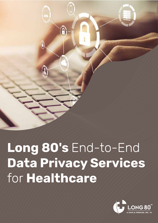

# Long 80's End-to-End Data Privacy Services for Healthcare

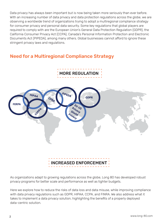Data privacy has always been important but is now being taken more seriously than ever before. With an increasing number of data privacy and data protection regulations across the globe, we are observing a worldwide trend of organizations trying to adopt a multiregional compliance strategy for consumer privacy and personal data security. Some key regulations that global players are required to comply with are the European Union's General Data Protection Regulation (GDPR), the California Consumer Privacy Act (CCPA), Canada's Personal Information Protection and Electronic Documents Act (PIPEDA), among many others. Global businesses cannot afford to ignore these stringent privacy laws and regulations.

# Need for a Multiregional Compliance Strategy





As organizations adapt to growing regulations across the globe, Long 80 has developed robust privacy programs for better scale and performance as well as tighter budgets.

Here we explore how to reduce the risks of data loss and data misuse, while improving compliance with data privacy regulations such as GDPR, HIPAA, CCPA, and FINRA. We also address what it takes to implement a data privacy solution, highlighting the benefits of a properly deployed data-centric solution.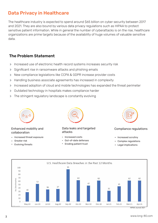# Data Privacy in Healthcare

The healthcare industry is expected to spend around \$65 billion on cyber security between 2017 and 2021. They are also bound by various data privacy regulations such as HIPAA to protect sensitive patient information. While in general the number of cyberattacks is on the rise, healthcare organizations are prime targets because of the availability of huge volumes of valuable sensitive data.

# The Problem Statement

- Increased use of electronic health record systems increases security risk  $\mathop{\mathbb{H}}$
- Significant rise in ransomware attacks and phishing emails þ
- New compliance legislations like CCPA & GDPR increase provider costs  $\mathbb{P}$
- Handling business associate agreements has increased in complexity  $\mathbb{H}$
- Increased adoption of cloud and mobile technologies has expanded the threat perimeter  $\frac{1}{2} \mathbb{P}^2$
- Outdated technology in hospitals makes compliance harder  $\mathbb{P}$
- The stringent regulatory landscape is constantly evolving  $\mathbb{P}$



## Enhanced mobility and collaboration

- . Increased threat exposure
- Greater risk
- Evolving threats



#### Data leaks and targeted attacks

- Increased costs
- Creater risk Out-of-date defenses<br>- Evolving threats Evolving threats Evolving threats Evolving threats Evolving threats Evolving threats Theorem Theorem Theorem Theorem Theorem Theorem Theorem Out-of-date defenses . . .
	- Gut of date defense<br>• Eroding patient trust



## Compliance regulations

- Increased scrutiny
- Complex regulations
- Legal implications

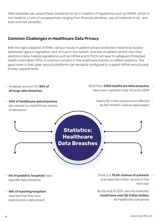Data breaches can cause these companies to be in violation of regulations such as HIPAA, which in turn leads to a host of consequences ranging from financial penalties, loss of customer trust, and even criminal penalties.

# Common Challenges in Healthcare Data Privacy

With the rapid adoption of EHRs, serious issues in patient privacy protection need to be quickly addressed: gaps in legislation, lack of trust in the system, and lack of patient control over their electronic data. Federal legislations such as HIPAA and HITECH Act seek to safeguard Protected Health Information (PHI). A common concern in the healthcare industry is HIPAA violations. The good news is that cyber security platforms can be easily configured to support HIPAA security and privacy requirements.



- reported data breaches
- . 18% of teaching hospitals reported that they have experienced a data breach
- of at least five million records in the next year
- By the end of 2021, security breaches . would have cost \$6 trillion dollars for healthcare companies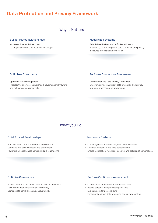# Data Protection and Privacy Framework

## Why it Matters

#### Builds Trusted Relationships

Increases Trust with Customer Leverages policy as a competitive advantage

#### Modernizes Systems

Establishes the Foundation for Data Privacy Ensures systems incorporate data protection and privacy measures by design and by default

#### Optimizes Governance

Optimizes Data Management Protects the business, establishes a governance framework, and mitigates compliance risks

#### Performs Continuous Assessment

Understands the Data Privacy Landscape Uncovers any risk in current data protection and privacy systems, processes, and governance

# What you Do

#### Build Trusted Relationships

- Empower user control, preference, and consent .
- **Centralize and goven consent and preferences**
- Power digital experiences across multiple touchpoints

#### Modernize Systems

- Update systems to address regulatory requirements .
- Discover, categorize, and map personal data .
- Enable rectification, retention, blocking, and deletion of personal data .

#### Optimize Governance

- Access, plan, and respond to data privacy requirements .
- Process, plan, and respond to data privacy is
- **Demonstrate compliance and accountability**

#### Perform Continuous Assessment

- Conduct data protection impact assessments .
- ediated and processing in pact accessing<br>Record personal data processing activities
- Evaluate risks for personal data .
- Implement and test data protection and privacy controls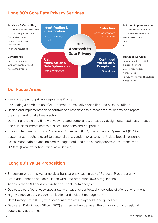# Long 80's Core Data Privacy Services

## Advisory & Consulting

- Data Protection Risk Assessment .
- Data Discovery & Classification .
- GAP Analysis Report .
- Current Security Posture . Assessment
- Audit and Assurance .

## **Governance**

- Data Loss Prevention .
- Data Governance & Analytics .
- Access Governance .



- Our Focus Areas
- . Keeping abreast of privacy regulations & acts
- . Leveraging a combination of AI, Automation, Predictive Analytics, and AIOps solutions
- Design and implementation of controls and responses to protect data, to identify and report . breaches, and to take timely action
- . Delivering reliable and timely privacy risk and compliance, privacy by design, data readiness, impact and risk assessments across business functions and 3rd parties
- Ensuring legitimacy of Data Processing Agreement (DPA)/ Data Transfer Agreement (DTA) in . customer contracts relevant to personal data, vendor risk assessment, data breach response assessment, data breach incident management, and data security controls assurance, with DPOaaS (Data Protection Officer as a Service)

# Long 80's Value Proposition

- Empowerment of the key principles: Transparency, Legitimacy of Purpose, Proportionality .
- Strict adherence to and compliance with data protection laws & regulations .
- Anonymization & Pseudonymization to enable data analytics .
- Dedicated certified privacy specialists with superior contextual knowledge of client environment .
- . Highly effective data breach notification and incident management
- . Data Privacy Office (DPO) with standard templates, playbooks, and guidelines
- . Dedicated Data Privacy Officer (DPO) as intermediary between the organization and regional supervisory authorities

Management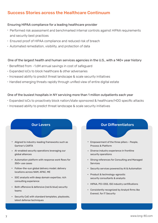# Success Stories across the Healthcare Continuum

## Ensuring HIPAA compliance for a leading healthcare provider

- Performed risk assessment and benchmarked internal controls against HIPAA requirements . and security best practices
- Ensured proof of HIPAA compliance and reduced risk of breach .
- Automated remediation, visibility, and protection of data .

## One of the largest health and human services agencies in the U.S., with a 140+ year history

- Benefitted from ~1.6M annual savings in cost of safeguard
- Expanded IoCs to block healthcare & other adversaries .
- . Increased ability to predict threat landscape & scale security initiatives
- . Handled emerging threats rapidly through unified view of entire digital estate

## One of the busiest hospitals in NY servicing more than 1 million outpatients each year

- Expanded IoCs to proactively block nation/state sponsored & healthcare/HDO specific attacks .
- . Increased ability to predict threat landscape & scale security initiatives



## Our Differentiators

- Empowerment of the three pillars People, Process & Platform
- Diverse industry experience in frontline security operations
- Strong references for Consulting and Managed Services
- Security services powered by AI & Automation
- Product & technology-agnostic security consultants & analysts
- HIPAA, PCI-DSS, ISO industry certifications
- Consistently recognized by Analyst firms like Everest, for IT Security